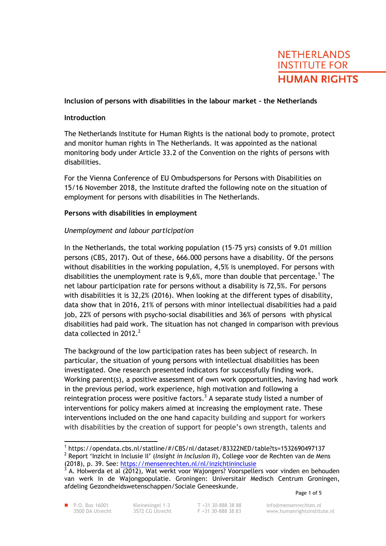# **NETHERLANDS INSTITUTE FOR HUMAN RIGHTS**

# **Inclusion of persons with disabilities in the labour market - the Netherlands**

#### **Introduction**

The Netherlands Institute for Human Rights is the national body to promote, protect and monitor human rights in The Netherlands. It was appointed as the national monitoring body under Article 33.2 of the Convention on the rights of persons with disabilities.

For the Vienna Conference of EU Ombudspersons for Persons with Disabilities on 15/16 November 2018, the Institute drafted the following note on the situation of employment for persons with disabilities in The Netherlands.

# **Persons with disabilities in employment**

# *Unemployment and labour participation*

In the Netherlands, the total working population (15-75 yrs) consists of 9.01 million persons (CBS, 2017). Out of these, 666.000 persons have a disability. Of the persons without disabilities in the working population, 4,5% is unemployed. For persons with disabilities the unemployment rate is 9,6%, more than double that percentage.<sup>1</sup> The net labour participation rate for persons without a disability is 72,5%. For persons with disabilities it is 32,2% (2016). When looking at the different types of disability, data show that in 2016, 21% of persons with minor intellectual disabilities had a paid job, 22% of persons with psycho-social disabilities and 36% of persons with physical disabilities had paid work. The situation has not changed in comparison with previous data collected in  $2012<sup>2</sup>$ 

The background of the low participation rates has been subject of research. In particular, the situation of young persons with intellectual disabilities has been investigated. One research presented indicators for successfully finding work. Working parent(s), a positive assessment of own work opportunities, having had work in the previous period, work experience, high motivation and following a reintegration process were positive factors.<sup>3</sup> A separate study listed a number of interventions for policy makers aimed at increasing the employment rate. These interventions included on the one hand capacity building and support for workers with disabilities by the creation of support for people's own strength, talents and

 $\overline{a}$ 1 https://opendata.cbs.nl/statline/#/CBS/nl/dataset/83322NED/table?ts=1532690497137 2 Report 'Inzicht in Inclusie II' (*Insight in Inclusion II*), College voor de Rechten van de Mens (2018), p. 39. See:<https://mensenrechten.nl/nl/inzichtininclusie><br>3. A. Holwerde et al. (2012), Wat werkt voor Waiongerre Voorppolle

A. Holwerda et al (2012), Wat werkt voor Wajongers? Voorspellers voor vinden en behouden van werk in de Wajongpopulatie. Groningen: Universitair Medisch Centrum Groningen, afdeling Gezondheidswetenschappen/Sociale Geneeskunde.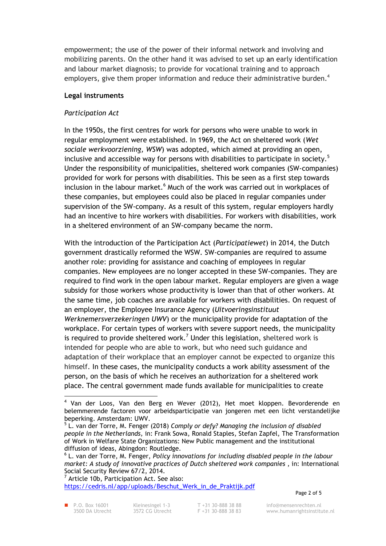empowerment; the use of the power of their informal network and involving and mobilizing parents. On the other hand it was advised to set up an early identification and labour market diagnosis; to provide for vocational training and to approach employers, give them proper information and reduce their administrative burden.<sup>4</sup>

# **Legal instruments**

# *Participation Act*

In the 1950s, the first centres for work for persons who were unable to work in regular employment were established. In 1969, the Act on sheltered work (*Wet sociale werkvoorziening, WSW*) was adopted, which aimed at providing an open, inclusive and accessible way for persons with disabilities to participate in society.<sup>5</sup> Under the responsibility of municipalities, sheltered work companies (SW-companies) provided for work for persons with disabilities. This be seen as a first step towards inclusion in the labour market.<sup>6</sup> Much of the work was carried out in workplaces of these companies, but employees could also be placed in regular companies under supervision of the SW-company. As a result of this system, regular employers hardly had an incentive to hire workers with disabilities. For workers with disabilities, work in a sheltered environment of an SW-company became the norm.

With the introduction of the Participation Act (*Participatiewet*) in 2014, the Dutch government drastically reformed the WSW. SW-companies are required to assume another role: providing for assistance and coaching of employees in regular companies. New employees are no longer accepted in these SW-companies. They are required to find work in the open labour market. Regular employers are given a wage subsidy for those workers whose productivity is lower than that of other workers. At the same time, job coaches are available for workers with disabilities. On request of an employer, the Employee Insurance Agency (*Uitvoeringsinstituut Werknemersverzekeringen UWV*) or the municipality provide for adaptation of the workplace. For certain types of workers with severe support needs, the municipality is required to provide sheltered work.<sup>7</sup> Under this legislation, sheltered work is intended for people who are able to work, but who need such guidance and adaptation of their workplace that an employer cannot be expected to organize this himself. In these cases, the municipality conducts a work ability assessment of the person, on the basis of which he receives an authorization for a sheltered work place. The central government made funds available for municipalities to create

7 Article 10b, Participation Act. See also: [https://cedris.nl/app/uploads/Beschut\\_Werk\\_in\\_de\\_Praktijk.pdf](https://cedris.nl/app/uploads/Beschut_Werk_in_de_Praktijk.pdf)

Page 2 of 5

 $\overline{a}$ <sup>4</sup> Van der Loos, Van den Berg en Wever (2012), Het moet kloppen. Bevorderende en belemmerende factoren voor arbeidsparticipatie van jongeren met een licht verstandelijke

beperking. Amsterdam: UWV. 5 L. van der Torre, M. Fenger (2018) *Comply or defy? Managing the inclusion of disabled people in the Netherlands,* in: Frank Sowa, Ronald Staples, Stefan Zapfel, The Transformation of Work in Welfare State Organizations: New Public management and the institutional diffusion of ideas, Abingdon: Routledge.

<sup>6</sup> L. van der Torre, M. Fenger, *Policy innovations for including disabled people in the labour market: A study of innovative practices of Dutch sheltered work companies* , in: International Social Security Review 67/2, 2014.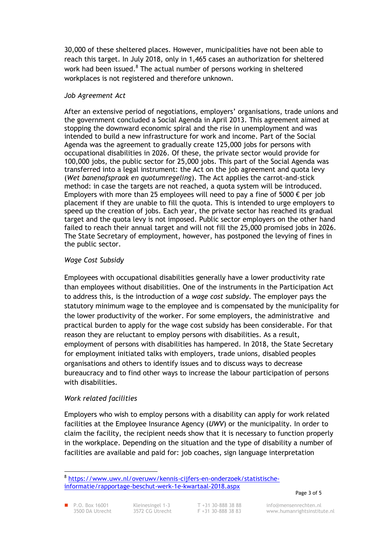30,000 of these sheltered places. However, municipalities have not been able to reach this target. In July 2018, only in 1,465 cases an authorization for sheltered work had been issued.<sup>8</sup> The actual number of persons working in sheltered workplaces is not registered and therefore unknown.

#### *Job Agreement Act*

After an extensive period of negotiations, employers' organisations, trade unions and the government concluded a Social Agenda in April 2013. This agreement aimed at stopping the downward economic spiral and the rise in unemployment and was intended to build a new infrastructure for work and income. Part of the Social Agenda was the agreement to gradually create 125,000 jobs for persons with occupational disabilities in 2026. Of these, the private sector would provide for 100,000 jobs, the public sector for 25,000 jobs. This part of the Social Agenda was transferred into a legal instrument: the Act on the job agreement and quota levy (*Wet banenafspraak en quotumregeling*). The Act applies the carrot-and-stick method: in case the targets are not reached, a quota system will be introduced. Employers with more than 25 employees will need to pay a fine of 5000  $\epsilon$  per job placement if they are unable to fill the quota. This is intended to urge employers to speed up the creation of jobs. Each year, the private sector has reached its gradual target and the quota levy is not imposed. Public sector employers on the other hand failed to reach their annual target and will not fill the 25,000 promised jobs in 2026. The State Secretary of employment, however, has postponed the levying of fines in the public sector.

# *Wage Cost Subsidy*

Employees with occupational disabilities generally have a lower productivity rate than employees without disabilities. One of the instruments in the Participation Act to address this, is the introduction of a *wage cost subsidy*. The employer pays the statutory minimum wage to the employee and is compensated by the municipality for the lower productivity of the worker. For some employers, the administrative and practical burden to apply for the wage cost subsidy has been considerable. For that reason they are reluctant to employ persons with disabilities. As a result, employment of persons with disabilities has hampered. In 2018, the State Secretary for employment initiated talks with employers, trade unions, disabled peoples organisations and others to identify issues and to discuss ways to decrease bureaucracy and to find other ways to increase the labour participation of persons with disabilities.

# *Work related facilities*

Employers who wish to employ persons with a disability can apply for work related facilities at the Employee Insurance Agency (*UWV*) or the municipality. In order to claim the facility, the recipient needs show that it is necessary to function properly in the workplace. Depending on the situation and the type of disability a number of facilities are available and paid for: job coaches, sign language interpretation

 $\overline{a}$ 

<sup>8</sup> [https://www.uwv.nl/overuwv/kennis-cijfers-en-onderzoek/statistische](https://www.uwv.nl/overuwv/kennis-cijfers-en-onderzoek/statistische-informatie/rapportage-beschut-werk-1e-kwartaal-2018.aspx)[informatie/rapportage-beschut-werk-1e-kwartaal-2018.aspx](https://www.uwv.nl/overuwv/kennis-cijfers-en-onderzoek/statistische-informatie/rapportage-beschut-werk-1e-kwartaal-2018.aspx)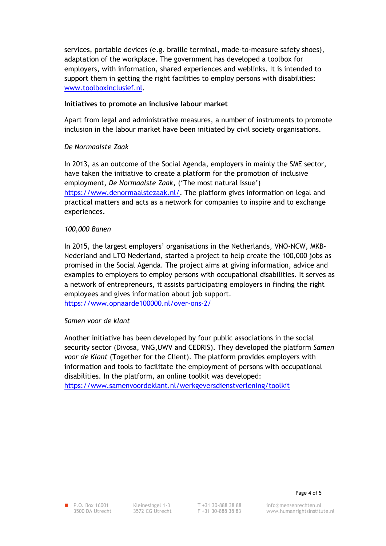services, portable devices (e.g. braille terminal, made-to-measure safety shoes), adaptation of the workplace. The government has developed a toolbox for employers, with information, shared experiences and weblinks. It is intended to support them in getting the right facilities to employ persons with disabilities: [www.toolboxinclusief.nl.](http://www.toolboxinclusief.nl/)

#### **Initiatives to promote an inclusive labour market**

Apart from legal and administrative measures, a number of instruments to promote inclusion in the labour market have been initiated by civil society organisations.

# *De Normaalste Zaak*

In 2013, as an outcome of the Social Agenda, employers in mainly the SME sector, have taken the initiative to create a platform for the promotion of inclusive employment, *De Normaalste Zaak*, ('The most natural issue') [https://www.denormaalstezaak.nl/.](https://www.denormaalstezaak.nl/) The platform gives information on legal and practical matters and acts as a network for companies to inspire and to exchange experiences.

# *100,000 Banen*

In 2015, the largest employers' organisations in the Netherlands, VNO-NCW, MKB-Nederland and LTO Nederland, started a project to help create the 100,000 jobs as promised in the Social Agenda. The project aims at giving information, advice and examples to employers to employ persons with occupational disabilities. It serves as a network of entrepreneurs, it assists participating employers in finding the right employees and gives information about job support. <https://www.opnaarde100000.nl/over-ons-2/>

#### *Samen voor de klant*

Another initiative has been developed by four public associations in the social security sector (Divosa, VNG,UWV and CEDRIS). They developed the platform *Samen voor de Klant* (Together for the Client). The platform provides employers with information and tools to facilitate the employment of persons with occupational disabilities. In the platform, an online toolkit was developed: <https://www.samenvoordeklant.nl/werkgeversdienstverlening/toolkit>

■ P.O. Box 16001 Kleinesingel 1-3 T +31 30-888 38 88 info@mensenrechten.nl<br>3500 DA Utrecht 3572 CG Utrecht F +31 30-888 38 83 www.humanrightsinstitu www.humanrightsinstitute.nl

Page 4 of 5